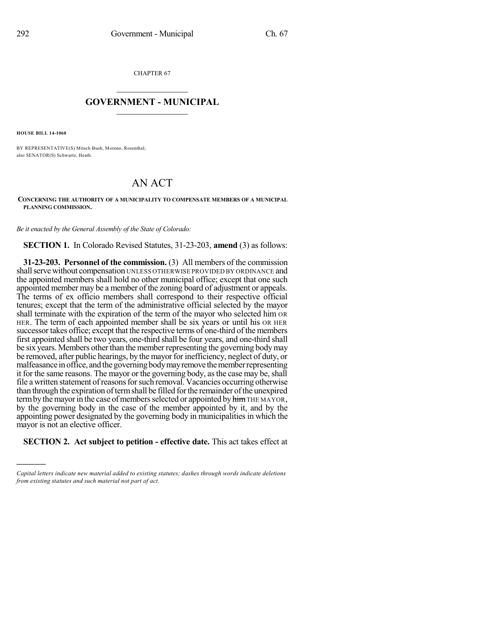CHAPTER 67

## $\mathcal{L}_\text{max}$  . The set of the set of the set of the set of the set of the set of the set of the set of the set of the set of the set of the set of the set of the set of the set of the set of the set of the set of the set **GOVERNMENT - MUNICIPAL**  $\_$

**HOUSE BILL 14-1060**

)))))

BY REPRESENTATIVE(S) Mitsch Bush, Moreno, Rosenthal; also SENATOR(S) Schwartz, Heath.

## AN ACT

## **CONCERNING THE AUTHORITY OF A MUNICIPALITY TO COMPENSATE MEMBERS OF A MUNICIPAL PLANNING COMMISSION.**

*Be it enacted by the General Assembly of the State of Colorado:*

**SECTION 1.** In Colorado Revised Statutes, 31-23-203, **amend** (3) as follows:

**31-23-203. Personnel of the commission.** (3) All members of the commission shall serve without compensation UNLESS OTHERWISE PROVIDED BY ORDINANCE and the appointed members shall hold no other municipal office; except that one such appointed member may be a member of the zoning board of adjustment or appeals. The terms of ex officio members shall correspond to their respective official tenures; except that the term of the administrative official selected by the mayor shall terminate with the expiration of the term of the mayor who selected him OR HER. The term of each appointed member shall be six years or until his OR HER successor takes office; except that the respective terms of one-third of the members first appointed shall be two years, one-third shall be four years, and one-third shall be six years. Members other than the member representing the governing body may be removed, after public hearings, by the mayor for inefficiency, neglect of duty, or malfeasance in office, and the governing body may remove the member representing it for the same reasons. The mayor or the governing body, asthe case may be, shall file a written statement ofreasonsforsuch removal. Vacancies occurring otherwise than through the expiration of term shall be filled for the remainder of the unexpired term by the mayor in the case of members selected or appointed by him THE MAYOR, by the governing body in the case of the member appointed by it, and by the appointing power designated by the governing body in municipalities in which the mayor is not an elective officer.

**SECTION 2. Act subject to petition - effective date.** This act takes effect at

*Capital letters indicate new material added to existing statutes; dashes through words indicate deletions from existing statutes and such material not part of act.*